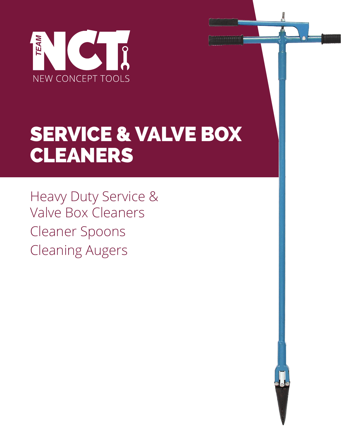

# SERVICE & VALVE BOX CLEANERS

Heavy Duty Service & Valve Box Cleaners Cleaner Spoons Cleaning Augers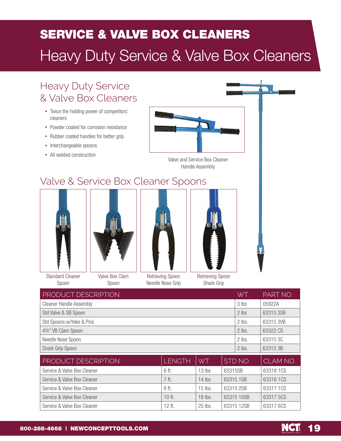## SERVICE & VALVE BOX CLEANERS Heavy Duty Service & Valve Box Cleaners

### Heavy Duty Service & Valve Box Cleaners

- Twice the holding power of competitors' cleaners
- Powder coated for corrosion resistance
- Rubber coated handles for better grip
- Interchangeable spoons
- All welded construction



Valve and Service Box Cleaner Handle Assembly

### Valve & Service Box Cleaner Spoons





Standard Cleaner Spoon

Spoon



Retrieving Spoon Needle Nose Grip Retrieving Spoon Shark Grip

| PRODUCT DESCRIPTION            |               |           |         | WT.        | PART NO.  |
|--------------------------------|---------------|-----------|---------|------------|-----------|
| <b>Cleaner Handle Assembly</b> |               |           | 3 lbs   | 05922A     |           |
| Std Valve & SB Spoon           |               |           |         | 2 lbs      | 63315 3SB |
| Std Spoons w/Yoke & Pins       |               |           | 2 lbs.  | 63315 3VB  |           |
| 41/2" VB Clam Spoon            |               |           |         | 2 lbs.     | 63322 CS  |
| Needle Nose Spoon              |               |           | 2 lbs.  | 63315 3C   |           |
| Shark Grip Spoon               |               |           |         | 2 lbs.     | 63315 3B  |
| PRODUCT DESCRIPTION            | <b>LENGTH</b> | WT.       |         | STD NO.    | CLAM NO.  |
| Service & Valve Box Cleaner    | 6 ft.         | $13$ lbs  | 63315SB |            | 63318 1CS |
| Service & Valve Box Cleaner    | 7 ft.         | $14$ lbs  |         | 63315 1SB  | 63316 1CS |
| Service & Valve Box Cleaner    | 8 ft.         | $15$ lbs. |         | 63315 2SB  | 63317 1CS |
| Service & Valve Box Cleaner    | 10 ft.        | 18 lbs.   |         | 63315 10SB | 63317 5CS |
| Service & Valve Box Cleaner    | 12 ft.        | 25 lbs.   |         | 63315 12SB | 63317 6CS |

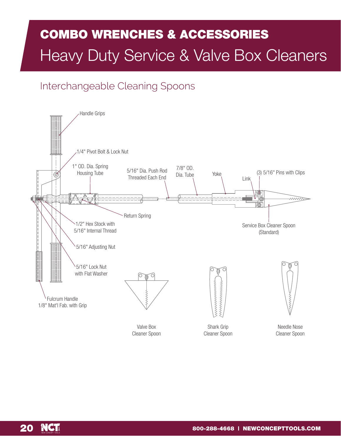## COMBO WRENCHES & ACCESSORIES Heavy Duty Service & Valve Box Cleaners

#### Interchangeable Cleaning Spoons